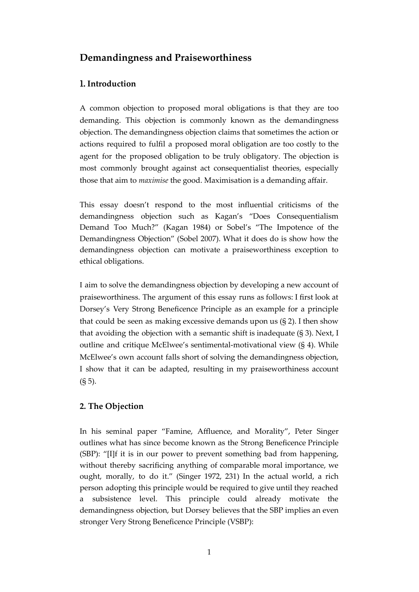# **Demandingness and Praiseworthiness**

## 1. **Introduction**

A common objection to proposed moral obligations is that they are too demanding. This objection is commonly known as the demandingness objection. The demandingness objection claims that sometimes the action or actions required to fulfil a proposed moral obligation are too costly to the agent for the proposed obligation to be truly obligatory. The objection is most commonly brought against act consequentialist theories, especially those that aim to *maximise* the good. Maximisation is a demanding affair.

This essay doesn't respond to the most influential criticisms of the demandingness objection such as Kagan's "Does Consequentialism Demand Too Much?" (Kagan 1984) or Sobel's "The Impotence of the Demandingness Objection" (Sobel 2007). What it does do is show how the demandingness objection can motivate a praiseworthiness exception to ethical obligations.

I aim to solve the demandingness objection by developing a new account of praiseworthiness. The argument of this essay runs as follows: I first look at Dorsey's Very Strong Beneficence Principle as an example for a principle that could be seen as making excessive demands upon us  $(S_2)$ . I then show that avoiding the objection with a semantic shift is inadequate (§ 3). Next, I outline and critique McElwee's sentimental-motivational view (§ 4). While McElwee's own account falls short of solving the demandingness objection, I show that it can be adapted, resulting in my praiseworthiness account (§ 5).

### **2. The Objection**

In his seminal paper "Famine, Affluence, and Morality", Peter Singer outlines what has since become known as the Strong Beneficence Principle (SBP): "[I]f it is in our power to prevent something bad from happening, without thereby sacrificing anything of comparable moral importance, we ought, morally, to do it." (Singer 1972, 231) In the actual world, a rich person adopting this principle would be required to give until they reached a subsistence level. This principle could already motivate the demandingness objection, but Dorsey believes that the SBP implies an even stronger Very Strong Beneficence Principle (VSBP):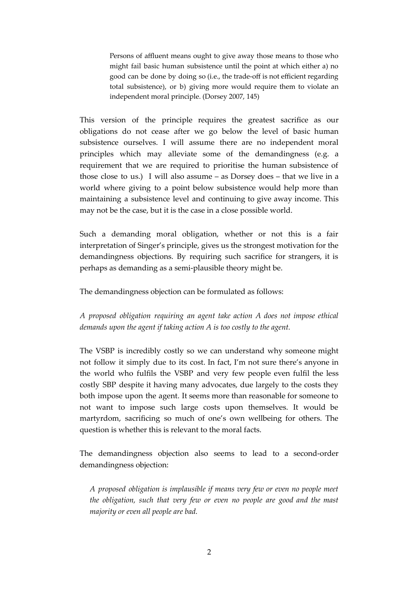Persons of affluent means ought to give away those means to those who might fail basic human subsistence until the point at which either a) no good can be done by doing so (i.e., the trade-off is not efficient regarding total subsistence), or b) giving more would require them to violate an independent moral principle. (Dorsey 2007, 145)

This version of the principle requires the greatest sacrifice as our obligations do not cease after we go below the level of basic human subsistence ourselves. I will assume there are no independent moral principles which may alleviate some of the demandingness (e.g. a requirement that we are required to prioritise the human subsistence of those close to us.) I will also assume – as Dorsey does – that we live in a world where giving to a point below subsistence would help more than maintaining a subsistence level and continuing to give away income. This may not be the case, but it is the case in a close possible world.

Such a demanding moral obligation, whether or not this is a fair interpretation of Singer's principle, gives us the strongest motivation for the demandingness objections. By requiring such sacrifice for strangers, it is perhaps as demanding as a semi-plausible theory might be.

The demandingness objection can be formulated as follows:

*A proposed obligation requiring an agent take action A does not impose ethical demands upon the agent if taking action A is too costly to the agent.*

The VSBP is incredibly costly so we can understand why someone might not follow it simply due to its cost. In fact, I'm not sure there's anyone in the world who fulfils the VSBP and very few people even fulfil the less costly SBP despite it having many advocates, due largely to the costs they both impose upon the agent. It seems more than reasonable for someone to not want to impose such large costs upon themselves. It would be martyrdom, sacrificing so much of one's own wellbeing for others. The question is whether this is relevant to the moral facts.

The demandingness objection also seems to lead to a second-order demandingness objection:

*A proposed obligation is implausible if means very few or even no people meet the obligation, such that very few or even no people are good and the mast majority or even all people are bad.*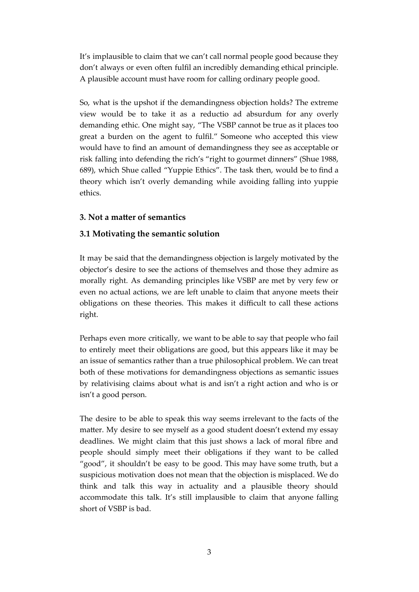It's implausible to claim that we can't call normal people good because they don't always or even often fulfil an incredibly demanding ethical principle. A plausible account must have room for calling ordinary people good.

So, what is the upshot if the demandingness objection holds? The extreme view would be to take it as a reductio ad absurdum for any overly demanding ethic. One might say, "The VSBP cannot be true as it places too great a burden on the agent to fulfil." Someone who accepted this view would have to find an amount of demandingness they see as acceptable or risk falling into defending the rich's "right to gourmet dinners" (Shue 1988, 689), which Shue called "Yuppie Ethics". The task then, would be to find a theory which isn't overly demanding while avoiding falling into yuppie ethics.

### **3. Not a matter of semantics**

### **3.1 Motivating the semantic solution**

It may be said that the demandingness objection is largely motivated by the objector's desire to see the actions of themselves and those they admire as morally right. As demanding principles like VSBP are met by very few or even no actual actions, we are left unable to claim that anyone meets their obligations on these theories. This makes it difficult to call these actions right.

Perhaps even more critically, we want to be able to say that people who fail to entirely meet their obligations are good, but this appears like it may be an issue of semantics rather than a true philosophical problem. We can treat both of these motivations for demandingness objections as semantic issues by relativising claims about what is and isn't a right action and who is or isn't a good person.

The desire to be able to speak this way seems irrelevant to the facts of the matter. My desire to see myself as a good student doesn't extend my essay deadlines. We might claim that this just shows a lack of moral fibre and people should simply meet their obligations if they want to be called "good", it shouldn't be easy to be good. This may have some truth, but a suspicious motivation does not mean that the objection is misplaced. We do think and talk this way in actuality and a plausible theory should accommodate this talk. It's still implausible to claim that anyone falling short of VSBP is bad.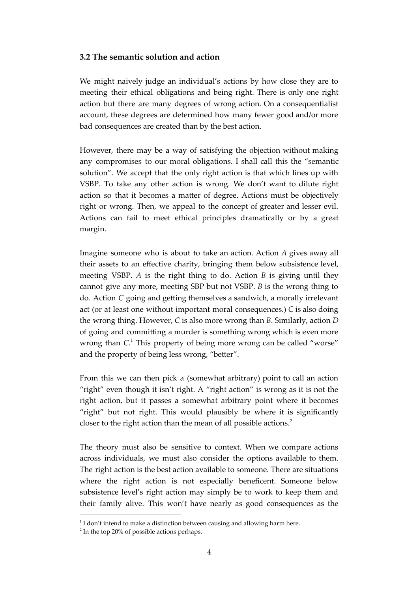### **3.2 The semantic solution and action**

We might naively judge an individual's actions by how close they are to meeting their ethical obligations and being right. There is only one right action but there are many degrees of wrong action. On a consequentialist account, these degrees are determined how many fewer good and/or more bad consequences are created than by the best action.

However, there may be a way of satisfying the objection without making any compromises to our moral obligations. I shall call this the "semantic solution". We accept that the only right action is that which lines up with VSBP. To take any other action is wrong. We don't want to dilute right action so that it becomes a matter of degree. Actions must be objectively right or wrong. Then, we appeal to the concept of greater and lesser evil. Actions can fail to meet ethical principles dramatically or by a great margin.

Imagine someone who is about to take an action. Action *A* gives away all their assets to an effective charity, bringing them below subsistence level, meeting VSBP. *A* is the right thing to do. Action *B* is giving until they cannot give any more, meeting SBP but not VSBP. *B* is the wrong thing to do. Action *C* going and getting themselves a sandwich, a morally irrelevant act (or at least one without important moral consequences.) *C* is also doing the wrong thing. However, *C* is also more wrong than *B*. Similarly, action *D* of going and committing a murder is something wrong which is even more wrong than *C*. <sup>1</sup> This property of being more wrong can be called "worse" and the property of being less wrong, "better".

From this we can then pick a (somewhat arbitrary) point to call an action "right" even though it isn't right. A "right action" is wrong as it is not the right action, but it passes a somewhat arbitrary point where it becomes "right" but not right. This would plausibly be where it is significantly closer to the right action than the mean of all possible actions.<sup>2</sup>

The theory must also be sensitive to context. When we compare actions across individuals, we must also consider the options available to them. The right action is the best action available to someone. There are situations where the right action is not especially beneficent. Someone below subsistence level's right action may simply be to work to keep them and their family alive. This won't have nearly as good consequences as the

 $1$ I don't intend to make a distinction between causing and allowing harm here.

<sup>&</sup>lt;sup>2</sup> In the top 20% of possible actions perhaps.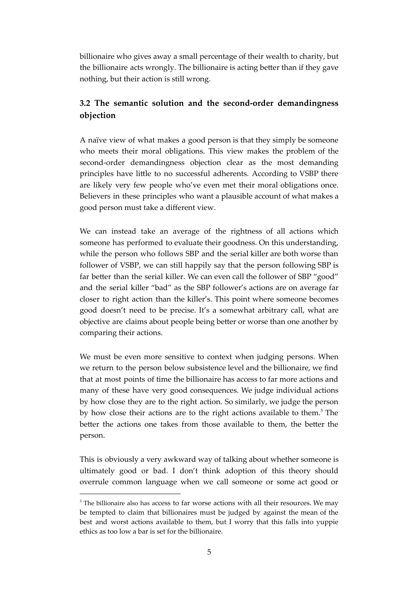billionaire who gives away a small percentage of their wealth to charity, but the billionaire acts wrongly. The billionaire is acting better than if they gave nothing, but their action is still wrong.

## **3.2 The semantic solution and the second-order demandingness objection**

A naïve view of what makes a good person is that they simply be someone who meets their moral obligations. This view makes the problem of the second-order demandingness objection clear as the most demanding principles have little to no successful adherents. According to VSBP there are likely very few people who've even met their moral obligations once. Believers in these principles who want a plausible account of what makes a good person must take a different view.

We can instead take an average of the rightness of all actions which someone has performed to evaluate their goodness. On this understanding, while the person who follows SBP and the serial killer are both worse than follower of VSBP, we can still happily say that the person following SBP is far better than the serial killer. We can even call the follower of SBP "good" and the serial killer "bad" as the SBP follower's actions are on average far closer to right action than the killer's. This point where someone becomes good doesn't need to be precise. It's a somewhat arbitrary call, what are objective are claims about people being better or worse than one another by comparing their actions.

We must be even more sensitive to context when judging persons. When we return to the person below subsistence level and the billionaire, we find that at most points of time the billionaire has access to far more actions and many of these have very good consequences. We judge individual actions by how close they are to the right action. So similarly, we judge the person by how close their actions are to the right actions available to them.<sup>3</sup> The better the actions one takes from those available to them, the better the person.

This is obviously a very awkward way of talking about whether someone is ultimately good or bad. I don't think adoption of this theory should overrule common language when we call someone or some act good or

<sup>&</sup>lt;sup>3</sup> The billionaire also has access to far worse actions with all their resources. We may be tempted to claim that billionaires must be judged by against the mean of the best and worst actions available to them, but I worry that this falls into yuppie ethics as too low a bar is set for the billionaire.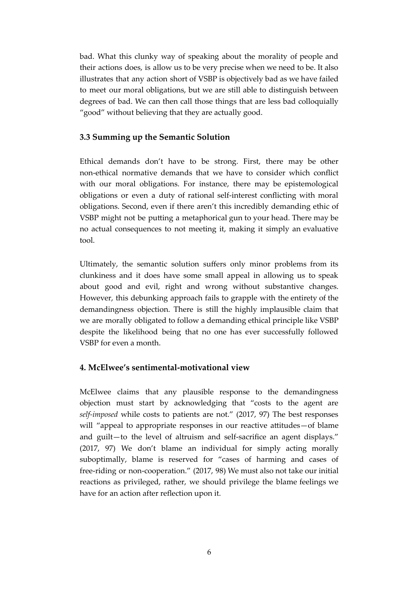bad. What this clunky way of speaking about the morality of people and their actions does, is allow us to be very precise when we need to be. It also illustrates that any action short of VSBP is objectively bad as we have failed to meet our moral obligations, but we are still able to distinguish between degrees of bad. We can then call those things that are less bad colloquially "good" without believing that they are actually good.

## **3.3 Summing up the Semantic Solution**

Ethical demands don't have to be strong. First, there may be other non-ethical normative demands that we have to consider which conflict with our moral obligations. For instance, there may be epistemological obligations or even a duty of rational self-interest conflicting with moral obligations. Second, even if there aren't this incredibly demanding ethic of VSBP might not be putting a metaphorical gun to your head. There may be no actual consequences to not meeting it, making it simply an evaluative tool.

Ultimately, the semantic solution suffers only minor problems from its clunkiness and it does have some small appeal in allowing us to speak about good and evil, right and wrong without substantive changes. However, this debunking approach fails to grapple with the entirety of the demandingness objection. There is still the highly implausible claim that we are morally obligated to follow a demanding ethical principle like VSBP despite the likelihood being that no one has ever successfully followed VSBP for even a month.

### **4. McElwee's sentimental-motivational view**

McElwee claims that any plausible response to the demandingness objection must start by acknowledging that "costs to the agent are *self-imposed* while costs to patients are not." (2017, 97) The best responses will "appeal to appropriate responses in our reactive attitudes—of blame and guilt—to the level of altruism and self-sacrifice an agent displays." (2017, 97) We don't blame an individual for simply acting morally suboptimally, blame is reserved for "cases of harming and cases of free-riding or non-cooperation." (2017, 98) We must also not take our initial reactions as privileged, rather, we should privilege the blame feelings we have for an action after reflection upon it.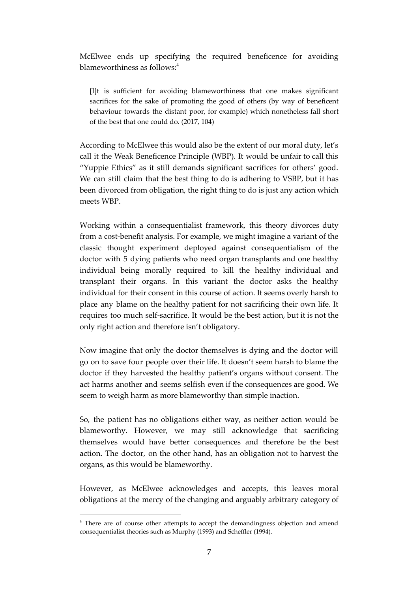McElwee ends up specifying the required beneficence for avoiding blameworthiness as follows: 4

[I]t is sufficient for avoiding blameworthiness that one makes significant sacrifices for the sake of promoting the good of others (by way of beneficent behaviour towards the distant poor, for example) which nonetheless fall short of the best that one could do. (2017, 104)

According to McElwee this would also be the extent of our moral duty, let's call it the Weak Beneficence Principle (WBP). It would be unfair to call this "Yuppie Ethics" as it still demands significant sacrifices for others' good. We can still claim that the best thing to do is adhering to VSBP, but it has been divorced from obligation, the right thing to do is just any action which meets WBP.

Working within a consequentialist framework, this theory divorces duty from a cost-benefit analysis. For example, we might imagine a variant of the classic thought experiment deployed against consequentialism of the doctor with 5 dying patients who need organ transplants and one healthy individual being morally required to kill the healthy individual and transplant their organs. In this variant the doctor asks the healthy individual for their consent in this course of action. It seems overly harsh to place any blame on the healthy patient for not sacrificing their own life. It requires too much self-sacrifice. It would be the best action, but it is not the only right action and therefore isn't obligatory.

Now imagine that only the doctor themselves is dying and the doctor will go on to save four people over their life. It doesn't seem harsh to blame the doctor if they harvested the healthy patient's organs without consent. The act harms another and seems selfish even if the consequences are good. We seem to weigh harm as more blameworthy than simple inaction.

So, the patient has no obligations either way, as neither action would be blameworthy. However, we may still acknowledge that sacrificing themselves would have better consequences and therefore be the best action. The doctor, on the other hand, has an obligation not to harvest the organs, as this would be blameworthy.

However, as McElwee acknowledges and accepts, this leaves moral obligations at the mercy of the changing and arguably arbitrary category of

<sup>&</sup>lt;sup>4</sup> There are of course other attempts to accept the demandingness objection and amend consequentialist theories such as Murphy (1993) and Scheffler (1994).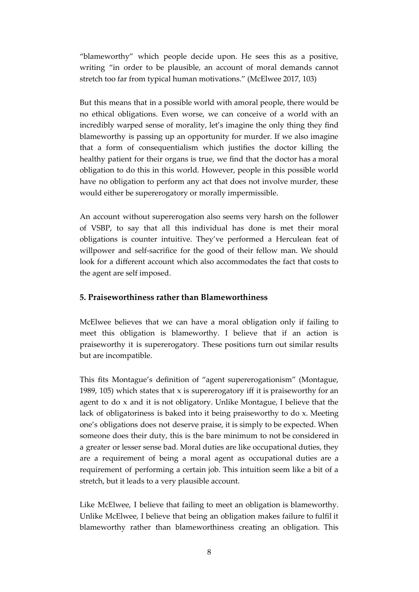"blameworthy" which people decide upon. He sees this as a positive, writing "in order to be plausible, an account of moral demands cannot stretch too far from typical human motivations." (McElwee 2017, 103)

But this means that in a possible world with amoral people, there would be no ethical obligations. Even worse, we can conceive of a world with an incredibly warped sense of morality, let's imagine the only thing they find blameworthy is passing up an opportunity for murder. If we also imagine that a form of consequentialism which justifies the doctor killing the healthy patient for their organs is true, we find that the doctor has a moral obligation to do this in this world. However, people in this possible world have no obligation to perform any act that does not involve murder, these would either be supererogatory or morally impermissible.

An account without supererogation also seems very harsh on the follower of VSBP, to say that all this individual has done is met their moral obligations is counter intuitive. They've performed a Herculean feat of willpower and self-sacrifice for the good of their fellow man. We should look for a different account which also accommodates the fact that costs to the agent are self imposed.

## **5. Praiseworthiness rather than Blameworthiness**

McElwee believes that we can have a moral obligation only if failing to meet this obligation is blameworthy. I believe that if an action is praiseworthy it is supererogatory. These positions turn out similar results but are incompatible.

This fits Montague's definition of "agent supererogationism" (Montague, 1989, 105) which states that x is supererogatory iff it is praiseworthy for an agent to do x and it is not obligatory. Unlike Montague, I believe that the lack of obligatoriness is baked into it being praiseworthy to do x. Meeting one's obligations does not deserve praise, it is simply to be expected. When someone does their duty, this is the bare minimum to not be considered in a greater or lesser sense bad. Moral duties are like occupational duties, they are a requirement of being a moral agent as occupational duties are a requirement of performing a certain job. This intuition seem like a bit of a stretch, but it leads to a very plausible account.

Like McElwee, I believe that failing to meet an obligation is blameworthy. Unlike McElwee, I believe that being an obligation makes failure to fulfil it blameworthy rather than blameworthiness creating an obligation. This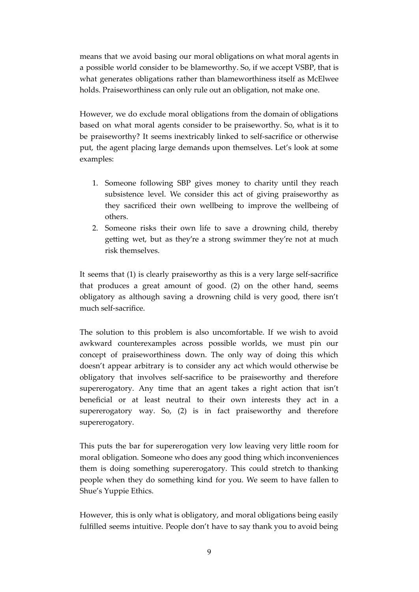means that we avoid basing our moral obligations on what moral agents in a possible world consider to be blameworthy. So, if we accept VSBP, that is what generates obligations rather than blameworthiness itself as McElwee holds. Praiseworthiness can only rule out an obligation, not make one.

However, we do exclude moral obligations from the domain of obligations based on what moral agents consider to be praiseworthy. So, what is it to be praiseworthy? It seems inextricably linked to self-sacrifice or otherwise put, the agent placing large demands upon themselves. Let's look at some examples:

- 1. Someone following SBP gives money to charity until they reach subsistence level. We consider this act of giving praiseworthy as they sacrificed their own wellbeing to improve the wellbeing of others.
- 2. Someone risks their own life to save a drowning child, thereby getting wet, but as they're a strong swimmer they're not at much risk themselves.

It seems that (1) is clearly praiseworthy as this is a very large self-sacrifice that produces a great amount of good. (2) on the other hand, seems obligatory as although saving a drowning child is very good, there isn't much self-sacrifice.

The solution to this problem is also uncomfortable. If we wish to avoid awkward counterexamples across possible worlds, we must pin our concept of praiseworthiness down. The only way of doing this which doesn't appear arbitrary is to consider any act which would otherwise be obligatory that involves self-sacrifice to be praiseworthy and therefore supererogatory. Any time that an agent takes a right action that isn't beneficial or at least neutral to their own interests they act in a supererogatory way. So, (2) is in fact praiseworthy and therefore supererogatory.

This puts the bar for supererogation very low leaving very little room for moral obligation. Someone who does any good thing which inconveniences them is doing something supererogatory. This could stretch to thanking people when they do something kind for you. We seem to have fallen to Shue's Yuppie Ethics.

However, this is only what is obligatory, and moral obligations being easily fulfilled seems intuitive. People don't have to say thank you to avoid being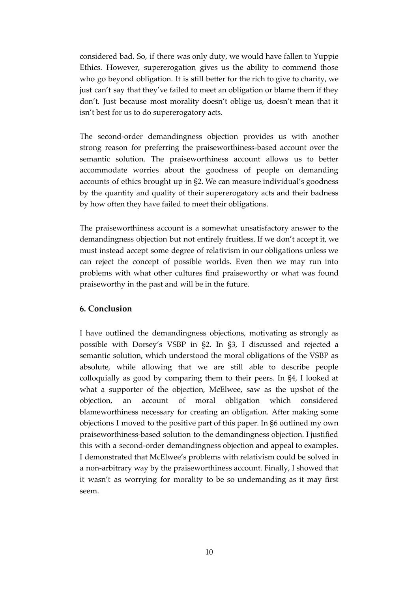considered bad. So, if there was only duty, we would have fallen to Yuppie Ethics. However, supererogation gives us the ability to commend those who go beyond obligation. It is still better for the rich to give to charity, we just can't say that they've failed to meet an obligation or blame them if they don't. Just because most morality doesn't oblige us, doesn't mean that it isn't best for us to do supererogatory acts.

The second-order demandingness objection provides us with another strong reason for preferring the praiseworthiness-based account over the semantic solution. The praiseworthiness account allows us to better accommodate worries about the goodness of people on demanding accounts of ethics brought up in §2. We can measure individual's goodness by the quantity and quality of their supererogatory acts and their badness by how often they have failed to meet their obligations.

The praiseworthiness account is a somewhat unsatisfactory answer to the demandingness objection but not entirely fruitless. If we don't accept it, we must instead accept some degree of relativism in our obligations unless we can reject the concept of possible worlds. Even then we may run into problems with what other cultures find praiseworthy or what was found praiseworthy in the past and will be in the future.

## **6. Conclusion**

I have outlined the demandingness objections, motivating as strongly as possible with Dorsey's VSBP in §2. In §3, I discussed and rejected a semantic solution, which understood the moral obligations of the VSBP as absolute, while allowing that we are still able to describe people colloquially as good by comparing them to their peers. In §4, I looked at what a supporter of the objection, McElwee, saw as the upshot of the objection, an account of moral obligation which considered blameworthiness necessary for creating an obligation. After making some objections I moved to the positive part of this paper. In §6 outlined my own praiseworthiness-based solution to the demandingness objection. I justified this with a second-order demandingness objection and appeal to examples. I demonstrated that McElwee's problems with relativism could be solved in a non-arbitrary way by the praiseworthiness account. Finally, I showed that it wasn't as worrying for morality to be so undemanding as it may first seem.